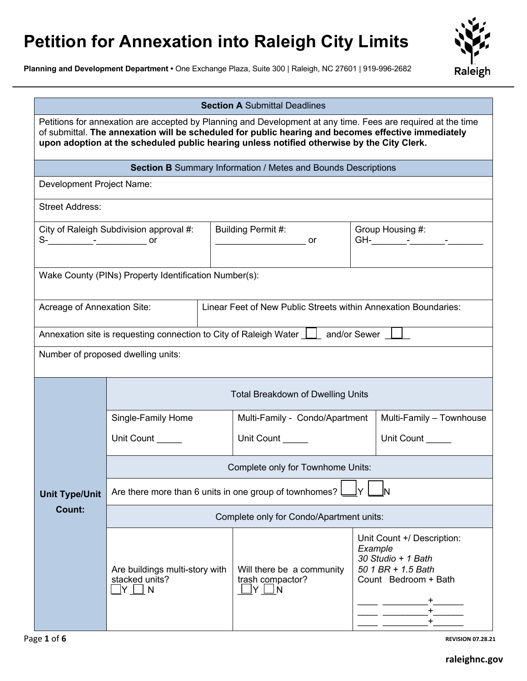## **Petition for Annexation into Raleigh City Limits**

**Planning and Development Department •** One Exchange Plaza, Suite 300 | Raleigh, NC 27601 | 919-996-2682



| <b>Section A Submittal Deadlines</b>                                                                                                                                                                                                                                                                              |                                                                           |                                                                                                 |                                                                                                                        |  |  |
|-------------------------------------------------------------------------------------------------------------------------------------------------------------------------------------------------------------------------------------------------------------------------------------------------------------------|---------------------------------------------------------------------------|-------------------------------------------------------------------------------------------------|------------------------------------------------------------------------------------------------------------------------|--|--|
| Petitions for annexation are accepted by Planning and Development at any time. Fees are required at the time<br>of submittal. The annexation will be scheduled for public hearing and becomes effective immediately<br>upon adoption at the scheduled public hearing unless notified otherwise by the City Clerk. |                                                                           |                                                                                                 |                                                                                                                        |  |  |
|                                                                                                                                                                                                                                                                                                                   |                                                                           | <b>Section B</b> Summary Information / Metes and Bounds Descriptions                            |                                                                                                                        |  |  |
| Development Project Name:                                                                                                                                                                                                                                                                                         |                                                                           |                                                                                                 |                                                                                                                        |  |  |
| <b>Street Address:</b>                                                                                                                                                                                                                                                                                            |                                                                           |                                                                                                 |                                                                                                                        |  |  |
| City of Raleigh Subdivision approval #:                                                                                                                                                                                                                                                                           |                                                                           | Building Permit #:<br>or                                                                        | Group Housing #:                                                                                                       |  |  |
| Wake County (PINs) Property Identification Number(s):                                                                                                                                                                                                                                                             |                                                                           |                                                                                                 |                                                                                                                        |  |  |
| Linear Feet of New Public Streets within Annexation Boundaries:<br>Acreage of Annexation Site:                                                                                                                                                                                                                    |                                                                           |                                                                                                 |                                                                                                                        |  |  |
| Annexation site is requesting connection to City of Raleigh Water   and/or Sewer                                                                                                                                                                                                                                  |                                                                           |                                                                                                 |                                                                                                                        |  |  |
| Number of proposed dwelling units:                                                                                                                                                                                                                                                                                |                                                                           |                                                                                                 |                                                                                                                        |  |  |
|                                                                                                                                                                                                                                                                                                                   | <b>Total Breakdown of Dwelling Units</b>                                  |                                                                                                 |                                                                                                                        |  |  |
|                                                                                                                                                                                                                                                                                                                   | Single-Family Home                                                        | Multi-Family - Condo/Apartment                                                                  | Multi-Family - Townhouse                                                                                               |  |  |
|                                                                                                                                                                                                                                                                                                                   | Unit Count                                                                | Unit Count                                                                                      | Unit Count                                                                                                             |  |  |
|                                                                                                                                                                                                                                                                                                                   | Complete only for Townhome Units:                                         |                                                                                                 |                                                                                                                        |  |  |
| Are there more than 6 units in one group of townhomes? I<br><b>Unit Type/Unit</b>                                                                                                                                                                                                                                 |                                                                           |                                                                                                 |                                                                                                                        |  |  |
| Count:                                                                                                                                                                                                                                                                                                            | Complete only for Condo/Apartment units:                                  |                                                                                                 |                                                                                                                        |  |  |
|                                                                                                                                                                                                                                                                                                                   | Are buildings multi-story with<br>stacked units?<br>$\sqcup$ Y $\sqcup$ N | Will there be a community<br>trash compactor?<br>$\mathsf{I}\mathsf{Y}\mathrel{\Box}\mathsf{N}$ | Unit Count +/ Description:<br>Example<br>30 Studio + 1 Bath<br>50 1 BR + 1.5 Bath<br>Count Bedroom + Bath<br>$\ddot{}$ |  |  |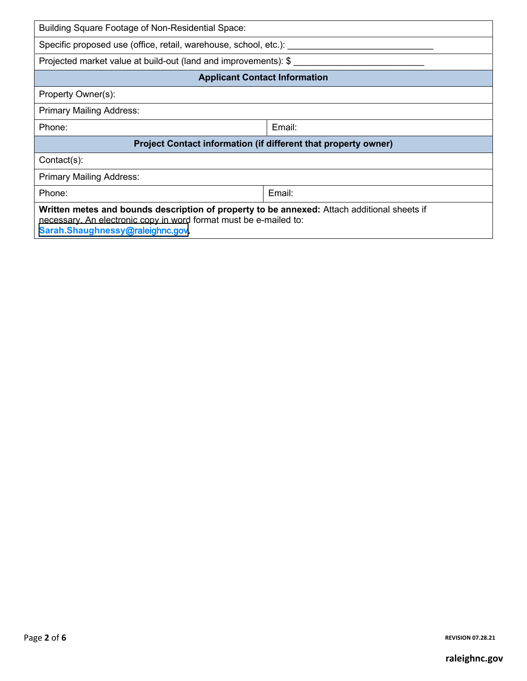| Building Square Footage of Non-Residential Space:                                                                                                                                                    |        |  |  |  |
|------------------------------------------------------------------------------------------------------------------------------------------------------------------------------------------------------|--------|--|--|--|
| Specific proposed use (office, retail, warehouse, school, etc.):                                                                                                                                     |        |  |  |  |
| Projected market value at build-out (land and improvements): \$                                                                                                                                      |        |  |  |  |
| <b>Applicant Contact Information</b>                                                                                                                                                                 |        |  |  |  |
| Property Owner(s):                                                                                                                                                                                   |        |  |  |  |
| <b>Primary Mailing Address:</b>                                                                                                                                                                      |        |  |  |  |
| Phone:                                                                                                                                                                                               | Email: |  |  |  |
| Project Contact information (if different that property owner)                                                                                                                                       |        |  |  |  |
| Contact(s):                                                                                                                                                                                          |        |  |  |  |
| <b>Primary Mailing Address:</b>                                                                                                                                                                      |        |  |  |  |
| Phone:                                                                                                                                                                                               | Email: |  |  |  |
| Written metes and bounds description of property to be annexed: Attach additional sheets if<br>necessary. An electronic copy in word format must be e-mailed to:<br>Sarah.Shaughnessy@raleighnc.gov. |        |  |  |  |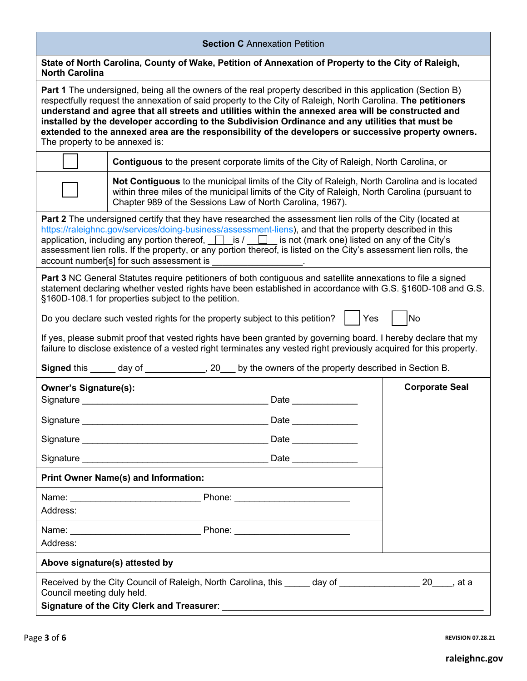| <b>Section C</b> Annexation Petition                                                                                                                                                                                                                                                                                                                                                                                                                                                                                                                                                    |                                                                                                                                                                                                                                                             |                       |  |
|-----------------------------------------------------------------------------------------------------------------------------------------------------------------------------------------------------------------------------------------------------------------------------------------------------------------------------------------------------------------------------------------------------------------------------------------------------------------------------------------------------------------------------------------------------------------------------------------|-------------------------------------------------------------------------------------------------------------------------------------------------------------------------------------------------------------------------------------------------------------|-----------------------|--|
| <b>North Carolina</b>                                                                                                                                                                                                                                                                                                                                                                                                                                                                                                                                                                   | State of North Carolina, County of Wake, Petition of Annexation of Property to the City of Raleigh,                                                                                                                                                         |                       |  |
| <b>Part 1</b> The undersigned, being all the owners of the real property described in this application (Section B)<br>respectfully request the annexation of said property to the City of Raleigh, North Carolina. The petitioners<br>understand and agree that all streets and utilities within the annexed area will be constructed and<br>installed by the developer according to the Subdivision Ordinance and any utilities that must be<br>extended to the annexed area are the responsibility of the developers or successive property owners.<br>The property to be annexed is: |                                                                                                                                                                                                                                                             |                       |  |
|                                                                                                                                                                                                                                                                                                                                                                                                                                                                                                                                                                                         | <b>Contiguous</b> to the present corporate limits of the City of Raleigh, North Carolina, or                                                                                                                                                                |                       |  |
|                                                                                                                                                                                                                                                                                                                                                                                                                                                                                                                                                                                         | Not Contiguous to the municipal limits of the City of Raleigh, North Carolina and is located<br>within three miles of the municipal limits of the City of Raleigh, North Carolina (pursuant to<br>Chapter 989 of the Sessions Law of North Carolina, 1967). |                       |  |
| <b>Part 2</b> The undersigned certify that they have researched the assessment lien rolls of the City (located at<br>https://raleighnc.gov/services/doing-business/assessment-liens), and that the property described in this<br>application, including any portion thereof, $\Box$ is $\Box$ is not (mark one) listed on any of the City's<br>assessment lien rolls. If the property, or any portion thereof, is listed on the City's assessment lien rolls, the                                                                                                                       |                                                                                                                                                                                                                                                             |                       |  |
| <b>Part 3 NC General Statutes require petitioners of both contiguous and satellite annexations to file a signed</b><br>statement declaring whether vested rights have been established in accordance with G.S. §160D-108 and G.S.<br>§160D-108.1 for properties subject to the petition.                                                                                                                                                                                                                                                                                                |                                                                                                                                                                                                                                                             |                       |  |
| Yes<br>No<br>Do you declare such vested rights for the property subject to this petition?                                                                                                                                                                                                                                                                                                                                                                                                                                                                                               |                                                                                                                                                                                                                                                             |                       |  |
| If yes, please submit proof that vested rights have been granted by governing board. I hereby declare that my<br>failure to disclose existence of a vested right terminates any vested right previously acquired for this property.                                                                                                                                                                                                                                                                                                                                                     |                                                                                                                                                                                                                                                             |                       |  |
|                                                                                                                                                                                                                                                                                                                                                                                                                                                                                                                                                                                         | Signed this _____ day of _____________, 20___ by the owners of the property described in Section B.                                                                                                                                                         |                       |  |
| <b>Owner's Signature(s):</b><br>Signature                                                                                                                                                                                                                                                                                                                                                                                                                                                                                                                                               | Date                                                                                                                                                                                                                                                        | <b>Corporate Seal</b> |  |
|                                                                                                                                                                                                                                                                                                                                                                                                                                                                                                                                                                                         | Date _______________                                                                                                                                                                                                                                        |                       |  |
|                                                                                                                                                                                                                                                                                                                                                                                                                                                                                                                                                                                         | Date                                                                                                                                                                                                                                                        |                       |  |
|                                                                                                                                                                                                                                                                                                                                                                                                                                                                                                                                                                                         |                                                                                                                                                                                                                                                             |                       |  |
| <b>Print Owner Name(s) and Information:</b>                                                                                                                                                                                                                                                                                                                                                                                                                                                                                                                                             |                                                                                                                                                                                                                                                             |                       |  |
| Address:                                                                                                                                                                                                                                                                                                                                                                                                                                                                                                                                                                                | Name: Phone: Phone:                                                                                                                                                                                                                                         |                       |  |
| Address:                                                                                                                                                                                                                                                                                                                                                                                                                                                                                                                                                                                |                                                                                                                                                                                                                                                             |                       |  |
| Above signature(s) attested by                                                                                                                                                                                                                                                                                                                                                                                                                                                                                                                                                          |                                                                                                                                                                                                                                                             |                       |  |
| Received by the City Council of Raleigh, North Carolina, this day of<br>20 <sub>, at a</sub><br>Council meeting duly held.                                                                                                                                                                                                                                                                                                                                                                                                                                                              |                                                                                                                                                                                                                                                             |                       |  |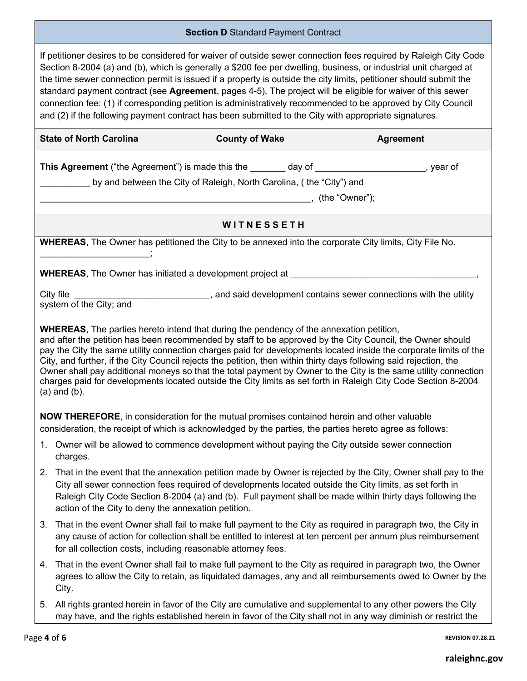## **Section D** Standard Payment Contract

If petitioner desires to be considered for waiver of outside sewer connection fees required by Raleigh City Code Section 8-2004 (a) and (b), which is generally a \$200 fee per dwelling, business, or industrial unit charged at the time sewer connection permit is issued if a property is outside the city limits, petitioner should submit the standard payment contract (see **Agreement**, pages 4-5). The project will be eligible for waiver of this sewer connection fee: (1) if corresponding petition is administratively recommended to be approved by City Council and (2) if the following payment contract has been submitted to the City with appropriate signatures.

|                                                                                                                                                                                                                                                                                                                                                                                                                                                                                                                                                                                                                                                                                                                   | <b>State of North Carolina</b>                                                                                                                                                                                                             | <b>County of Wake</b> | <b>Agreement</b>                                                                                                                                                                                                              |  |
|-------------------------------------------------------------------------------------------------------------------------------------------------------------------------------------------------------------------------------------------------------------------------------------------------------------------------------------------------------------------------------------------------------------------------------------------------------------------------------------------------------------------------------------------------------------------------------------------------------------------------------------------------------------------------------------------------------------------|--------------------------------------------------------------------------------------------------------------------------------------------------------------------------------------------------------------------------------------------|-----------------------|-------------------------------------------------------------------------------------------------------------------------------------------------------------------------------------------------------------------------------|--|
|                                                                                                                                                                                                                                                                                                                                                                                                                                                                                                                                                                                                                                                                                                                   | <b>This Agreement</b> ("the Agreement") is made this the ________ day of ______________________, year of<br>by and between the City of Raleigh, North Carolina, (the "City") and                                                           |                       |                                                                                                                                                                                                                               |  |
|                                                                                                                                                                                                                                                                                                                                                                                                                                                                                                                                                                                                                                                                                                                   |                                                                                                                                                                                                                                            | WITNESSETH            |                                                                                                                                                                                                                               |  |
|                                                                                                                                                                                                                                                                                                                                                                                                                                                                                                                                                                                                                                                                                                                   | WHEREAS, The Owner has petitioned the City to be annexed into the corporate City limits, City File No.                                                                                                                                     |                       |                                                                                                                                                                                                                               |  |
|                                                                                                                                                                                                                                                                                                                                                                                                                                                                                                                                                                                                                                                                                                                   | <b>WHEREAS</b> , The Owner has initiated a development project at <b>example and the contract of the control of the control of the control of the control of the control of the control of the control of the control of the control o</b> |                       |                                                                                                                                                                                                                               |  |
|                                                                                                                                                                                                                                                                                                                                                                                                                                                                                                                                                                                                                                                                                                                   | City file<br>_________, and said development contains sewer connections with the utility<br>system of the City; and                                                                                                                        |                       |                                                                                                                                                                                                                               |  |
| <b>WHEREAS</b> , The parties hereto intend that during the pendency of the annexation petition,<br>and after the petition has been recommended by staff to be approved by the City Council, the Owner should<br>pay the City the same utility connection charges paid for developments located inside the corporate limits of the<br>City, and further, if the City Council rejects the petition, then within thirty days following said rejection, the<br>Owner shall pay additional moneys so that the total payment by Owner to the City is the same utility connection<br>charges paid for developments located outside the City limits as set forth in Raleigh City Code Section 8-2004<br>$(a)$ and $(b)$ . |                                                                                                                                                                                                                                            |                       |                                                                                                                                                                                                                               |  |
| NOW THEREFORE, in consideration for the mutual promises contained herein and other valuable<br>consideration, the receipt of which is acknowledged by the parties, the parties hereto agree as follows:                                                                                                                                                                                                                                                                                                                                                                                                                                                                                                           |                                                                                                                                                                                                                                            |                       |                                                                                                                                                                                                                               |  |
|                                                                                                                                                                                                                                                                                                                                                                                                                                                                                                                                                                                                                                                                                                                   | 1. Owner will be allowed to commence development without paying the City outside sewer connection<br>charges.                                                                                                                              |                       |                                                                                                                                                                                                                               |  |
|                                                                                                                                                                                                                                                                                                                                                                                                                                                                                                                                                                                                                                                                                                                   | City all sewer connection fees required of developments located outside the City limits, as set forth in<br>action of the City to deny the annexation petition.                                                                            |                       | 2. That in the event that the annexation petition made by Owner is rejected by the City, Owner shall pay to the<br>Raleigh City Code Section 8-2004 (a) and (b). Full payment shall be made within thirty days following the  |  |
| 3.                                                                                                                                                                                                                                                                                                                                                                                                                                                                                                                                                                                                                                                                                                                | for all collection costs, including reasonable attorney fees.                                                                                                                                                                              |                       | That in the event Owner shall fail to make full payment to the City as required in paragraph two, the City in<br>any cause of action for collection shall be entitled to interest at ten percent per annum plus reimbursement |  |
| 4.                                                                                                                                                                                                                                                                                                                                                                                                                                                                                                                                                                                                                                                                                                                | City.                                                                                                                                                                                                                                      |                       | That in the event Owner shall fail to make full payment to the City as required in paragraph two, the Owner<br>agrees to allow the City to retain, as liquidated damages, any and all reimbursements owed to Owner by the     |  |
|                                                                                                                                                                                                                                                                                                                                                                                                                                                                                                                                                                                                                                                                                                                   | 5. All rights granted herein in favor of the City are cumulative and supplemental to any other powers the City                                                                                                                             |                       |                                                                                                                                                                                                                               |  |

may have, and the rights established herein in favor of the City shall not in any way diminish or restrict the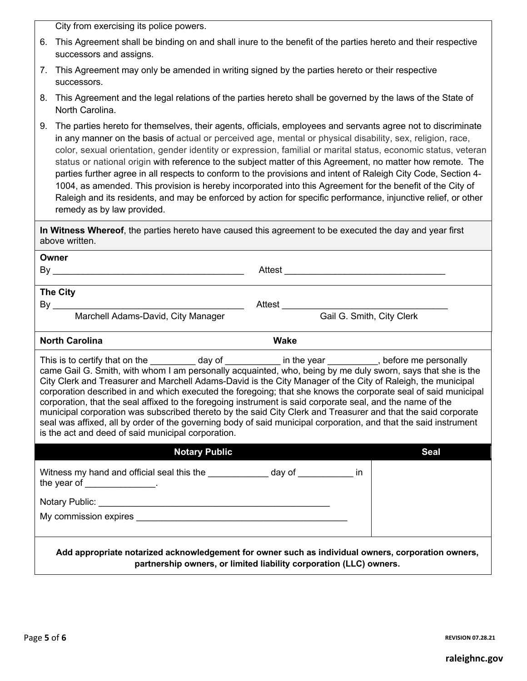City from exercising its police powers.

- 6. This Agreement shall be binding on and shall inure to the benefit of the parties hereto and their respective successors and assigns.
- 7. This Agreement may only be amended in writing signed by the parties hereto or their respective successors.
- 8. This Agreement and the legal relations of the parties hereto shall be governed by the laws of the State of North Carolina.
- 9. The parties hereto for themselves, their agents, officials, employees and servants agree not to discriminate in any manner on the basis of actual or perceived age, mental or physical disability, sex, religion, race, color, sexual orientation, gender identity or expression, familial or marital status, economic status, veteran status or national origin with reference to the subject matter of this Agreement, no matter how remote. The parties further agree in all respects to conform to the provisions and intent of Raleigh City Code, Section 4- 1004, as amended. This provision is hereby incorporated into this Agreement for the benefit of the City of Raleigh and its residents, and may be enforced by action for specific performance, injunctive relief, or other remedy as by law provided.

**In Witness Whereof**, the parties hereto have caused this agreement to be executed the day and year first above written.

| Owner                                                                                                                                                                                                                                                                                                                                                                                                                                                                                                                                                                                                                                                                                                                                                                                                                                                      |                                                                    |             |
|------------------------------------------------------------------------------------------------------------------------------------------------------------------------------------------------------------------------------------------------------------------------------------------------------------------------------------------------------------------------------------------------------------------------------------------------------------------------------------------------------------------------------------------------------------------------------------------------------------------------------------------------------------------------------------------------------------------------------------------------------------------------------------------------------------------------------------------------------------|--------------------------------------------------------------------|-------------|
|                                                                                                                                                                                                                                                                                                                                                                                                                                                                                                                                                                                                                                                                                                                                                                                                                                                            |                                                                    |             |
|                                                                                                                                                                                                                                                                                                                                                                                                                                                                                                                                                                                                                                                                                                                                                                                                                                                            |                                                                    |             |
| The City                                                                                                                                                                                                                                                                                                                                                                                                                                                                                                                                                                                                                                                                                                                                                                                                                                                   |                                                                    |             |
|                                                                                                                                                                                                                                                                                                                                                                                                                                                                                                                                                                                                                                                                                                                                                                                                                                                            | Gail G. Smith, City Clerk                                          |             |
|                                                                                                                                                                                                                                                                                                                                                                                                                                                                                                                                                                                                                                                                                                                                                                                                                                                            |                                                                    |             |
| <b>North Carolina</b>                                                                                                                                                                                                                                                                                                                                                                                                                                                                                                                                                                                                                                                                                                                                                                                                                                      | <b>Wake</b>                                                        |             |
| This is to certify that on the _________ day of _________ in the year ________, before me personally came Gail G. Smith, with whom I am personally acquainted, who, being by me duly sworn, says that she is the<br>City Clerk and Treasurer and Marchell Adams-David is the City Manager of the City of Raleigh, the municipal<br>corporation described in and which executed the foregoing; that she knows the corporate seal of said municipal<br>corporation, that the seal affixed to the foregoing instrument is said corporate seal, and the name of the<br>municipal corporation was subscribed thereto by the said City Clerk and Treasurer and that the said corporate<br>seal was affixed, all by order of the governing body of said municipal corporation, and that the said instrument<br>is the act and deed of said municipal corporation. |                                                                    |             |
| <b>Notary Public</b>                                                                                                                                                                                                                                                                                                                                                                                                                                                                                                                                                                                                                                                                                                                                                                                                                                       |                                                                    | <b>Seal</b> |
| Witness my hand and official seal this the _____________ day of __________ in<br>the year of $\frac{1}{2}$                                                                                                                                                                                                                                                                                                                                                                                                                                                                                                                                                                                                                                                                                                                                                 |                                                                    |             |
|                                                                                                                                                                                                                                                                                                                                                                                                                                                                                                                                                                                                                                                                                                                                                                                                                                                            |                                                                    |             |
|                                                                                                                                                                                                                                                                                                                                                                                                                                                                                                                                                                                                                                                                                                                                                                                                                                                            |                                                                    |             |
| Add appropriate notarized acknowledgement for owner such as individual owners, corporation owners,                                                                                                                                                                                                                                                                                                                                                                                                                                                                                                                                                                                                                                                                                                                                                         | partnership owners, or limited liability corporation (LLC) owners. |             |